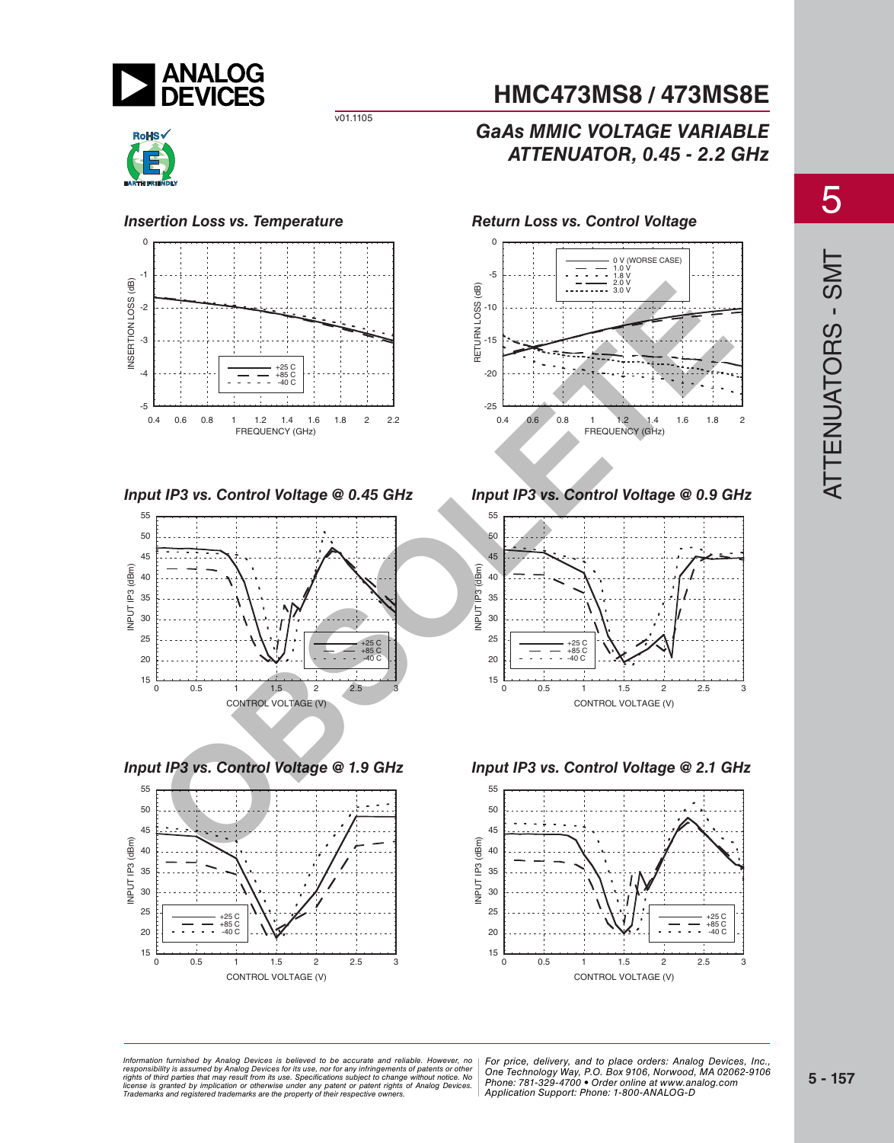

## **RoHS**

#### *Insertion Loss vs. Temperature*



*Input IP3 vs. Control Voltage @ 0.45 GHz*



*Input IP3 vs. Control Voltage @ 1.9 GHz*



## **HMC473MS8 / 473MS8E**

## *GaAs MMIC VOLTAGE VARIABLE ATTENUATOR, 0.45 - 2.2 GHz*

*Return Loss vs. Control Voltage*



*Input IP3 vs. Control Voltage @ 0.9 GHz*



*Input IP3 vs. Control Voltage @ 2.1 GHz*



*Information furnished by Analog Devices is believed to be accurate and reliable. However, no* | For price, deliverv, and to place orders: Analog *20 By Analog Devices for its use, nor for any infringements of patents or other | One Technology Way, P.O. Box 9106, Norwoo*<br>at may result from its use. Specifications subject to change without notice. No or patent rights of Analog Devices. | CITUTI<del>C</del>. 7 OT-3.<br>Consider awners responsibility is assumed by Analog Devices for its use, nor for any infringements of patents or other<br>rights of third parties that may result from its use. Specifications subject to change without notice. No<br>license is gr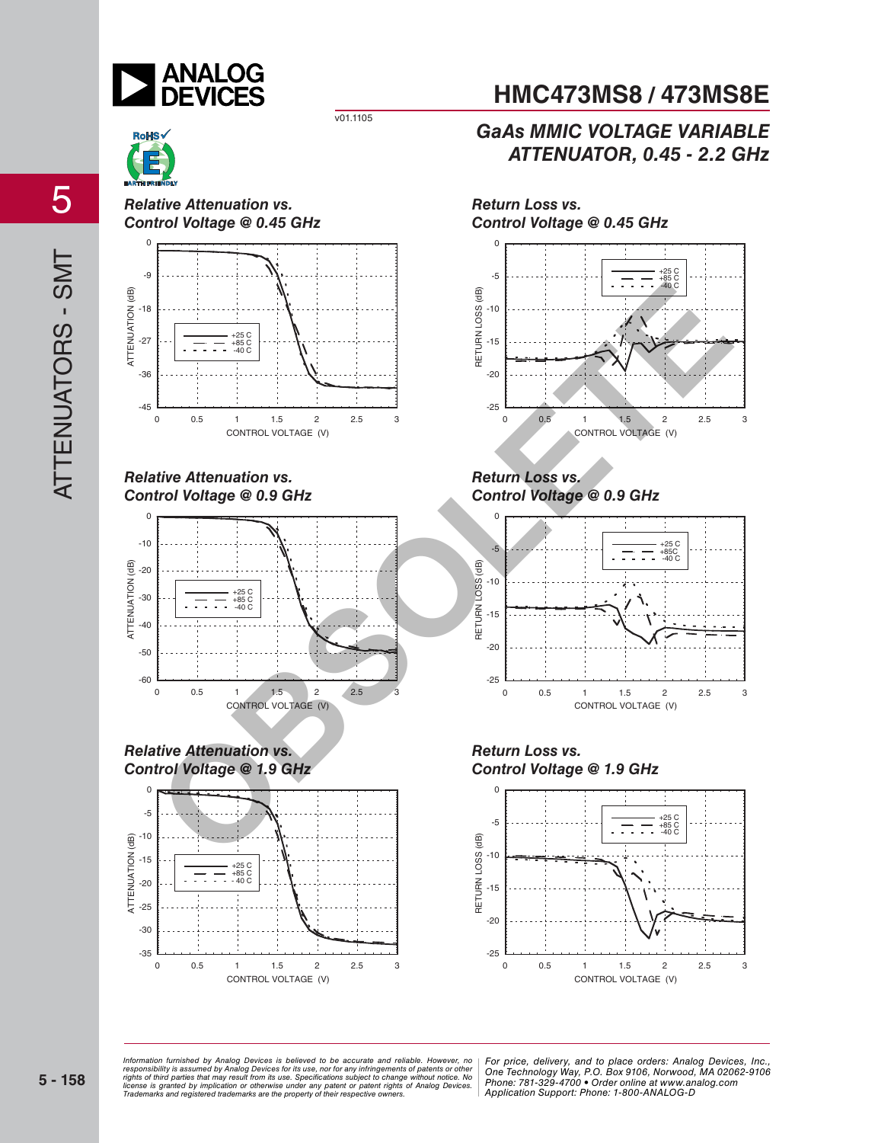



*Relative Attenuation vs. Control Voltage @ 0.45 GHz*



#### *Relative Attenuation vs. Control Voltage @ 0.9 GHz*







## **HMC473MS8 / 473MS8E**

## *GaAs MMIC VOLTAGE VARIABLE ATTENUATOR, 0.45 - 2.2 GHz*



*Return Loss vs. Control Voltage @ 0.9 GHz*



*Return Loss vs. Control Voltage @ 1.9 GHz*



<sub>re</sub><br>In the Analog Devices is believed to be accurate and reliable. However, no | For price, delivery, and to place orders: Analog *20 By Analog Devices for its use, nor for any infringements of patents or other | One Technology Way, P.O. Box 9106, Norwoo*<br>at may result from its use. Specifications subject to change without notice. No or patent rights of Analog Devices. | CITUTI<del>C</del>. 7 OT-3.<br>Consider awners Information furnished by Analog Devices is believed to be accurate and reliable. However, no<br>responsibility is assumed by Analog Devices for its use, nor for any infringements of patents or other<br>rights of third parties th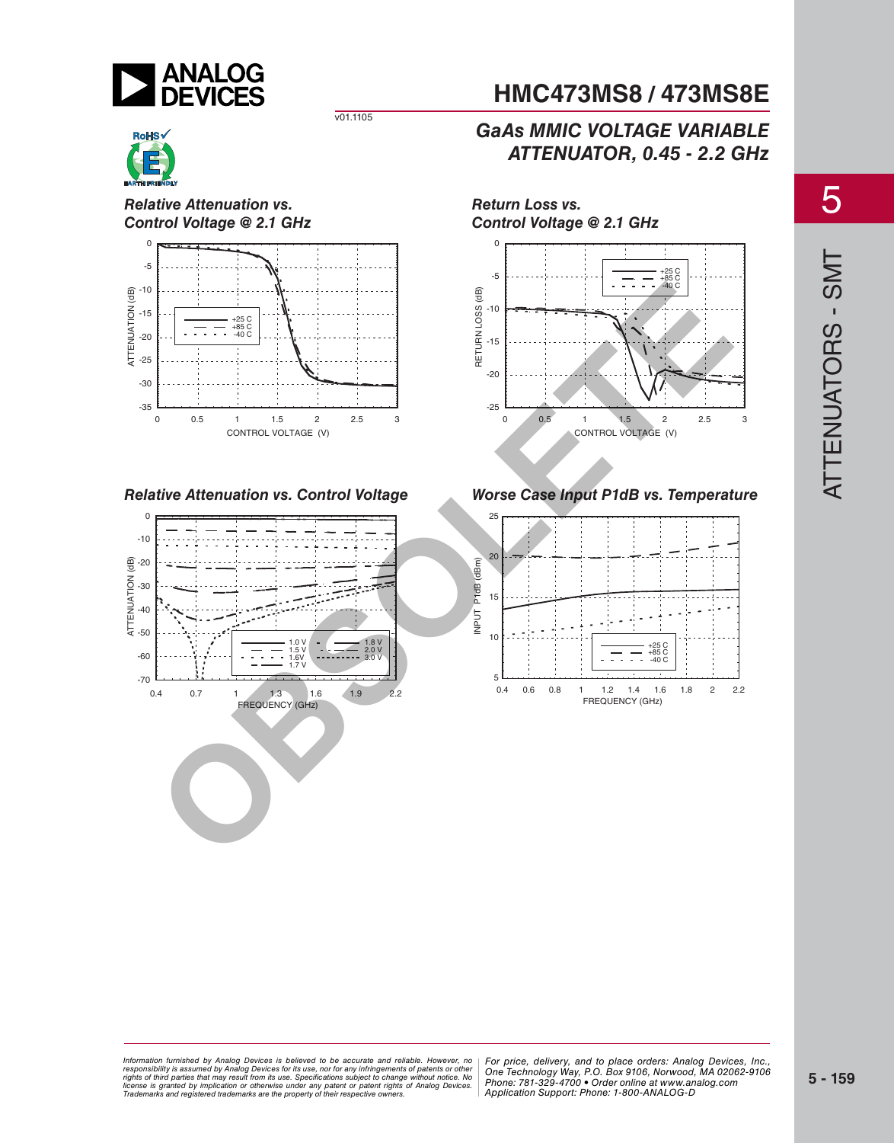

## **RoHS**

*Relative Attenuation vs. Control Voltage @ 2.1 GHz*



*Relative Attenuation vs. Control Voltage*



*Return Loss vs. Control Voltage @ 2.1 GHz*



*GaAs MMIC VOLTAGE VARIABLE*

**HMC473MS8 / 473MS8E**

*ATTENUATOR, 0.45 - 2.2 GHz*

*Worse Case Input P1dB vs. Temperature*



<sub>re</sub><br>In the Analog Devices is believed to be accurate and reliable. However, no | For price, delivery, and to place orders: Analog *20 By Analog Devices for its use, nor for any infringements of patents or other | One Technology Way, P.O. Box 9106, Norwoo*<br>at may result from its use. Specifications subject to change without notice. No or patent rights of Analog Devices. | CITUTI<del>C</del>. 7 OT-3.<br>Consider awners Information furnished by Analog Devices is believed to be accurate and reliable. However, no<br>responsibility is assumed by Analog Devices for its use, nor for any infringements of patents or other<br>rights of third parties th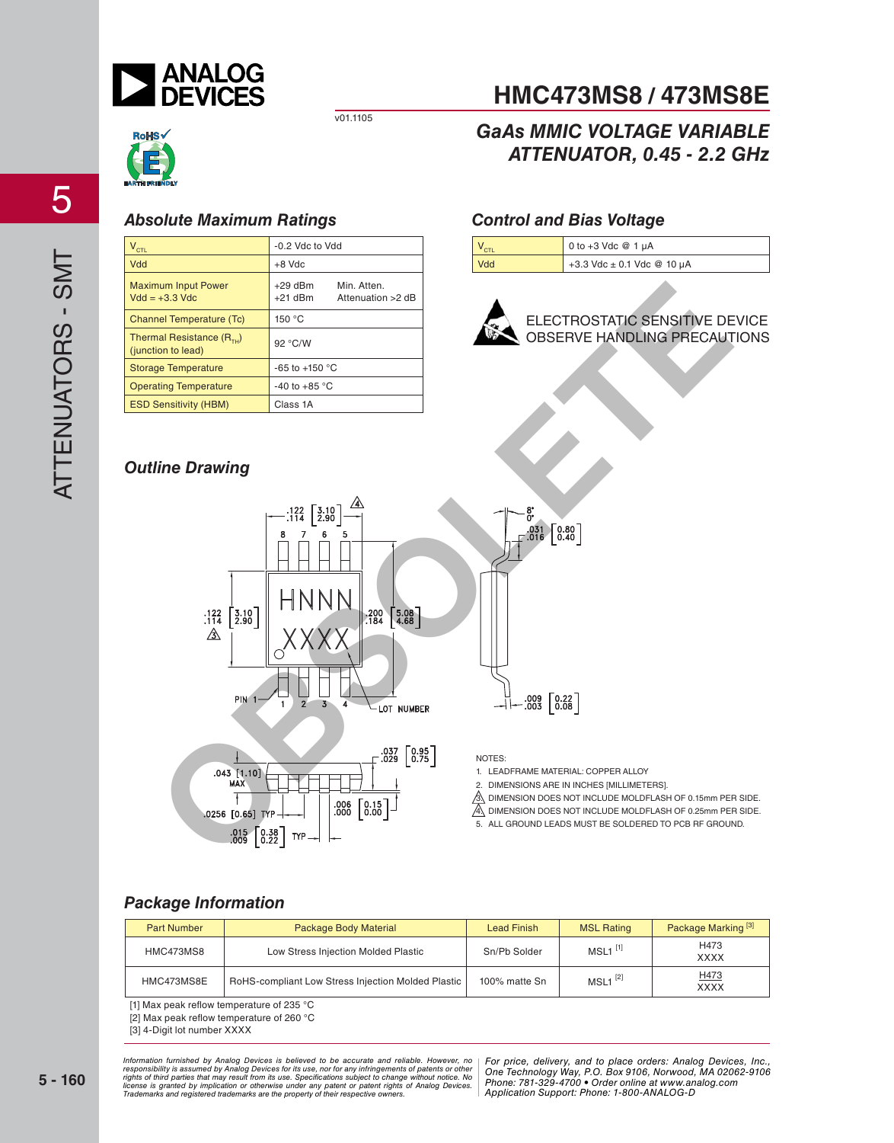

## **RoHS**

## *Absolute Maximum Ratings Control and Bias Voltage*

| $V_{\text{CIL}}$                                          | -0.2 Vdc to Vdd                                            |  |
|-----------------------------------------------------------|------------------------------------------------------------|--|
| Vdd                                                       | $+8$ Vdc                                                   |  |
| <b>Maximum Input Power</b><br>$Vdd = +3.3$ $Vdc$          | Min. Atten.<br>$+29$ dBm<br>$+21$ dBm<br>Attenuation >2 dB |  |
| <b>Channel Temperature (Tc)</b>                           | 150 °C                                                     |  |
| Thermal Resistance $(R_{\tau_{1}})$<br>(junction to lead) | 92 °C/W                                                    |  |
| <b>Storage Temperature</b>                                | $-65$ to $+150$ °C                                         |  |
| <b>Operating Temperature</b>                              | -40 to +85 $\degree$ C                                     |  |
| <b>ESD Sensitivity (HBM)</b>                              | Class 1A                                                   |  |

## *Outline Drawing*





*GaAs MMIC VOLTAGE VARIABLE*

**HMC473MS8 / 473MS8E**

*ATTENUATOR, 0.45 - 2.2 GHz*



ELECTROSTATIC SENSITIVE DEVICE OBSERVE HANDLING PRECAUTIONS



#### NOTES:

- 1. LEADFRAME MATERIAL: COPPER ALLOY
- 2. DIMENSIONS ARE IN INCHES [MILLIMETERS].
- $\hat{\mathbb{S}}$  dimension does not include moldflash of 0.15mm per side.

 $\overline{A}$ . DIMENSION DOES NOT INCLUDE MOLDFLASH OF 0.25mm PER SIDE.

5. ALL GROUND LEADS MUST BE SOLDERED TO PCB RF GROUND.

### *Package Information*

| <b>Part Number</b> | Package Body Material                              | <b>Lead Finish</b> | <b>MSL Rating</b>     | Package Marking <sup>[3]</sup> |
|--------------------|----------------------------------------------------|--------------------|-----------------------|--------------------------------|
| HMC473MS8          | Low Stress Injection Molded Plastic                | Sn/Pb Solder       | $MSL1$ <sup>[1]</sup> | H473<br><b>XXXX</b>            |
| HMC473MS8E         | RoHS-compliant Low Stress Injection Molded Plastic | 100% matte Sn      | $MSL1$ <sup>[2]</sup> | H473<br><b>XXXX</b>            |

[1] Max peak reflow temperature of 235  $^{\circ}$ C

[2] Max peak reflow temperature of 260 °C

[3] 4-Digit lot number XXXX

<sub>re</sub><br>In the Analog Devices is believed to be accurate and reliable. However, no | For price, delivery, and to place orders: Analog *20 By Analog Devices for its use, nor for any infringements of patents or other | One Technology Way, P.O. Box 9106, Norwoo*<br>at may result from its use. Specifications subject to change without notice. No or patent rights of Analog Devices. | CITUTI<del>C</del>. 7 OT-3.<br>Consider awners Information furnished by Analog Devices is believed to be accurate and reliable. However, no<br>responsibility is assumed by Analog Devices for its use, nor for any infringements of patents or other<br>rights of third parties th

*For price, delivery, and to place orders: Analog Devices, Inc., One Technology Way, P.O. Box 9106, Norwood, MA 02062-9106 Phone: 781-329-4700 • Order online at www.analog.com Application Support: Phone: 1-800-ANALOG-D*

**5 - 160**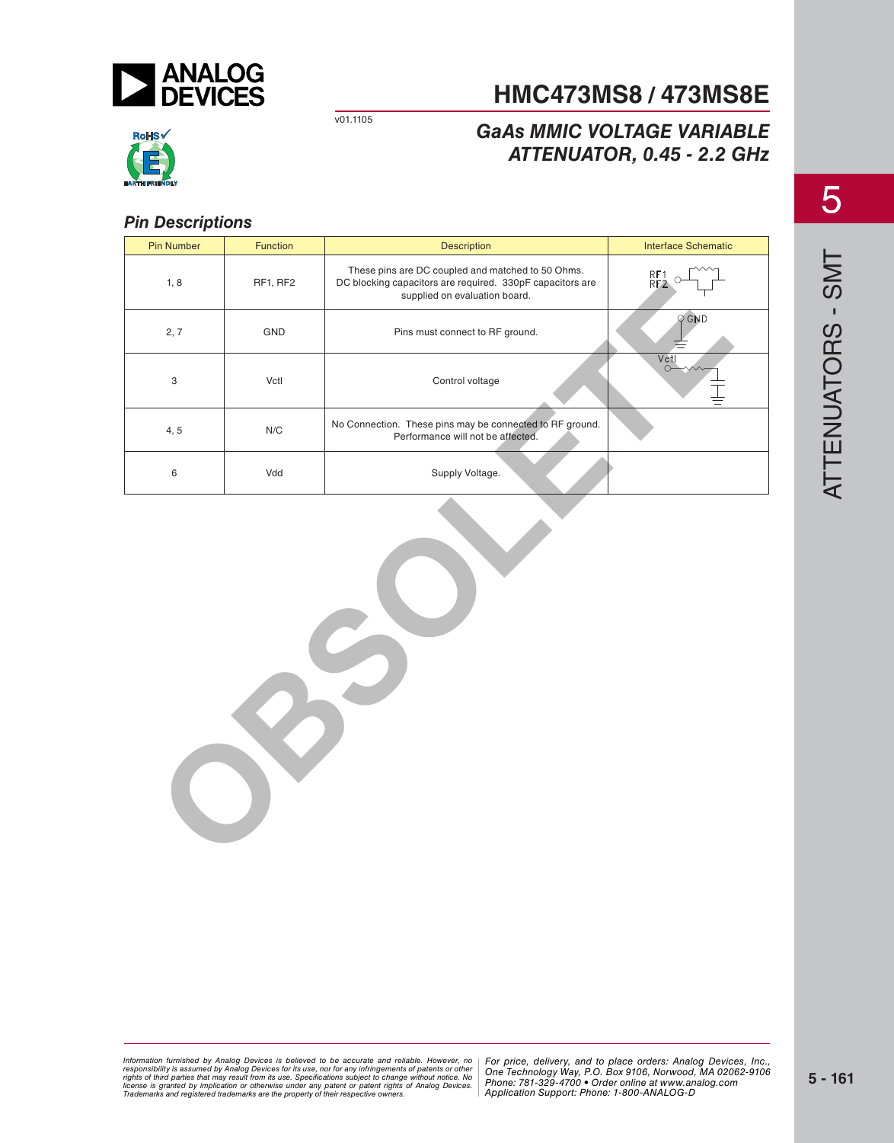

## **HMC473MS8 / 473MS8E**

## *GaAs MMIC VOLTAGE VARIABLE ATTENUATOR, 0.45 - 2.2 GHz*



## *Pin Descriptions*

| <b>Pin Number</b>         | Function                | Description                                                                                                                                     | <b>Interface Schematic</b> |
|---------------------------|-------------------------|-------------------------------------------------------------------------------------------------------------------------------------------------|----------------------------|
| 1, 8                      | RF1, RF2                | These pins are DC coupled and matched to 50 Ohms.<br>DC blocking capacitors are required. 330pF capacitors are<br>supplied on evaluation board. | RF1<br>RF2                 |
| 2, 7                      | GND                     | Pins must connect to RF ground.                                                                                                                 | $Q$ GND                    |
| $\ensuremath{\mathsf{3}}$ | Vctl                    | Control voltage                                                                                                                                 | $\overline{V}$ ctl         |
| 4, 5                      | $\mathsf{N}/\mathsf{C}$ | No Connection. These pins may be connected to RF ground.<br>Performance will not be affected.                                                   |                            |
| 6                         | Vdd                     | Supply Voltage.                                                                                                                                 |                            |
| C                         |                         |                                                                                                                                                 |                            |

<sub>re</sub><br>In the Analog Devices is believed to be accurate and reliable. However, no | For price, delivery, and to place orders: Analog *20 By Analog Devices for its use, nor for any infringements of patents or other | One Technology Way, P.O. Box 9106, Norwoo*<br>at may result from its use. Specifications subject to change without notice. No or patent rights of Analog Devices. | CITUTI<del>C</del>. 7 OT-3.<br>Consider awners Information furnished by Analog Devices is believed to be accurate and reliable. However, no<br>responsibility is assumed by Analog Devices for its use, nor for any infringements of patents or other<br>rights of third parties th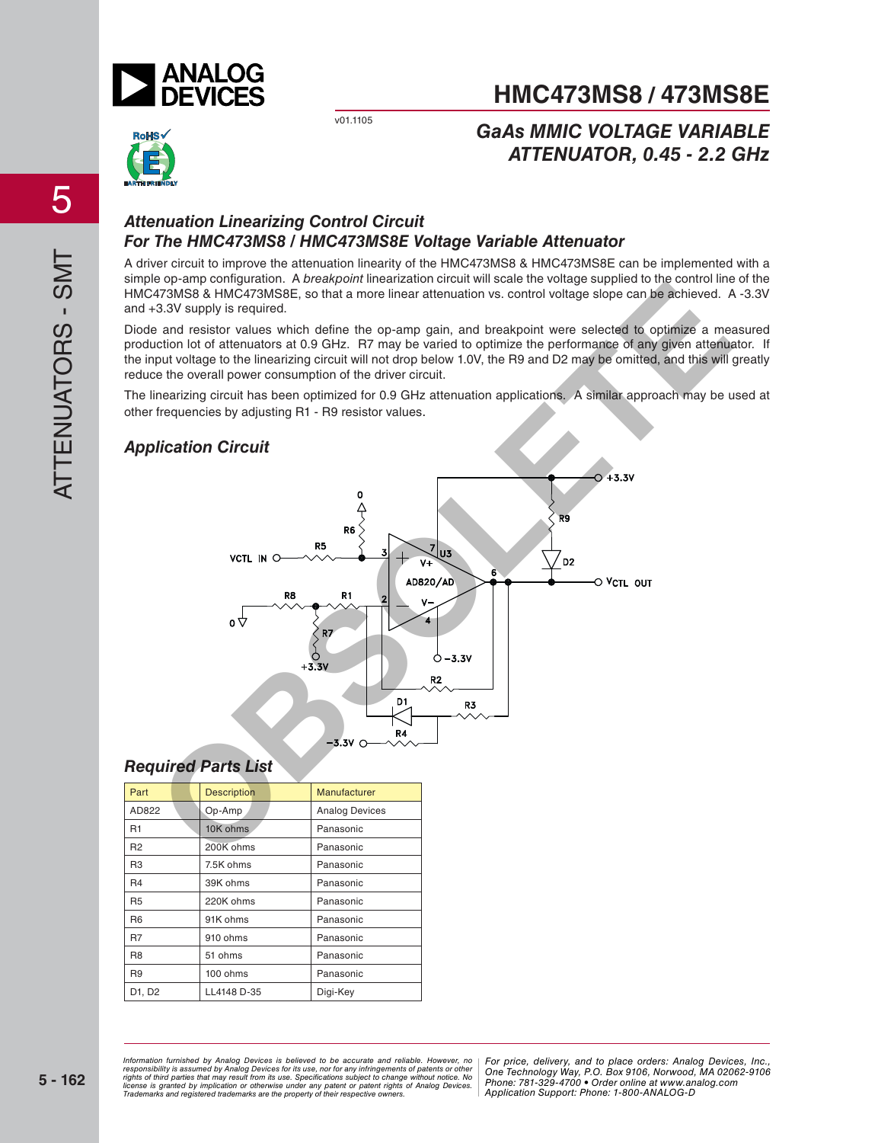

## **HMC473MS8 / 473MS8E**

*GaAs MMIC VOLTAGE VARIABLE*

# RoHS√

## *ATTENUATOR, 0.45 - 2.2 GHz*

## *Attenuation Linearizing Control Circuit For The HMC473MS8 / HMC473MS8E Voltage Variable Attenuator*

A driver circuit to improve the attenuation linearity of the HMC473MS8 & HMC473MS8E can be implemented with a simple op-amp configuration. A *breakpoint* linearization circuit will scale the voltage supplied to the control line of the HMC473MS8 & HMC473MS8E, so that a more linear attenuation vs. control voltage slope can be achieved. A -3.3V and +3.3V supply is required.

Diode and resistor values which define the op-amp gain, and breakpoint were selected to optimize a measured production lot of attenuators at 0.9 GHz. R7 may be varied to optimize the performance of any given attenuator. If the input voltage to the linearizing circuit will not drop below 1.0V, the R9 and D2 may be omitted, and this will greatly reduce the overall power consumption of the driver circuit.

The linearizing circuit has been optimized for 0.9 GHz attenuation applications. A similar approach may be used at other frequencies by adjusting R1 - R9 resistor values.

### *Application Circuit*



### *Required Parts List*

| Part           | <b>Description</b> | <b>Manufacturer</b>   |  |
|----------------|--------------------|-----------------------|--|
| AD822          | Op-Amp             | <b>Analog Devices</b> |  |
| R1             | 10K ohms           | Panasonic             |  |
| R <sub>2</sub> | 200K ohms          | Panasonic             |  |
| R <sub>3</sub> | 7.5K ohms          | Panasonic             |  |
| R <sub>4</sub> | 39K ohms           | Panasonic             |  |
| <b>R5</b>      | 220K ohms          | Panasonic             |  |
| R <sub>6</sub> | 91K ohms           | Panasonic             |  |
| R7             | 910 ohms           | Panasonic             |  |
| R <sub>8</sub> | 51 ohms            | Panasonic             |  |
| R <sub>9</sub> | 100 ohms           | Panasonic             |  |
| D1, D2         | LL4148 D-35        | Digi-Key              |  |

*Information furnished by Analog Devices is believed to be accurate and reliable. However, no* | For price, deliverv, and to place orders: Analog *20 By Analog Devices for its use, nor for any infringements of patents or other | One Technology Way, P.O. Box 9106, Norwoo*<br>at may result from its use. Specifications subject to change without notice. No or patent rights of Analog Devices. | CITUTI<del>C</del>. 7 OT-3.<br>Consider awners responsibility is assumed by Analog Devices for its use, nor for any infringements of patents or other<br>rights of third parties that may result from its use. Specifications subject to change without notice. No<br>license is gr